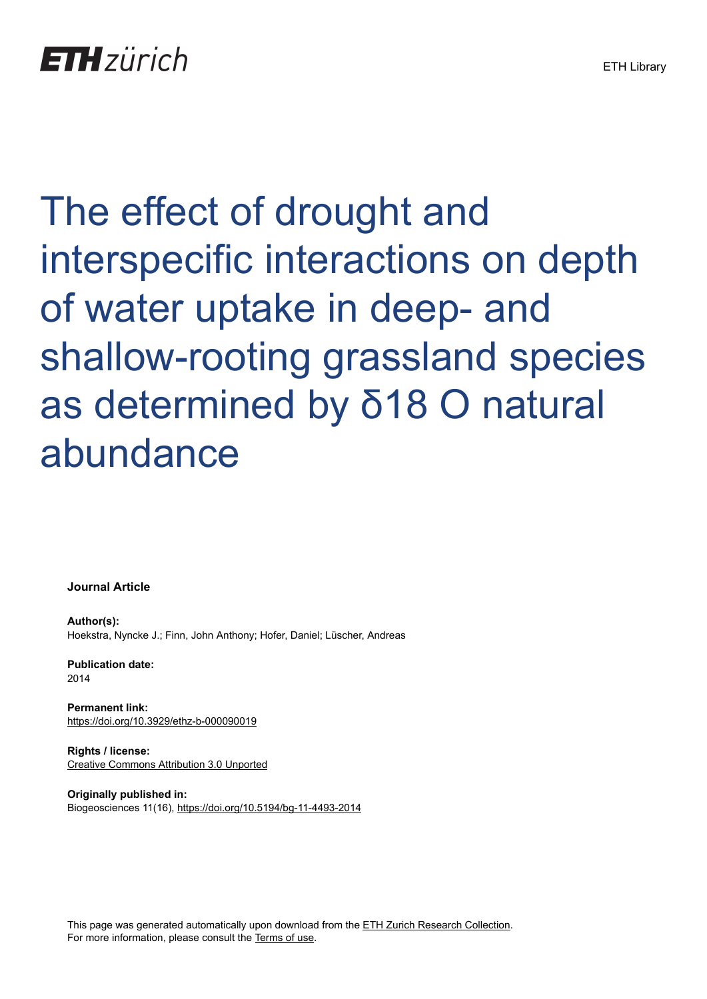# The effect of drought and interspecific interactions on depth of water uptake in deep- and shallow-rooting grassland species as determined by δ18 O natural abundance

**Journal Article**

**Author(s):** Hoekstra, Nyncke J.; Finn, John Anthony; Hofer, Daniel; Lüscher, Andreas

**Publication date:** 2014

**Permanent link:** <https://doi.org/10.3929/ethz-b-000090019>

**Rights / license:** [Creative Commons Attribution 3.0 Unported](http://creativecommons.org/licenses/by/3.0/)

**Originally published in:** Biogeosciences 11(16),<https://doi.org/10.5194/bg-11-4493-2014>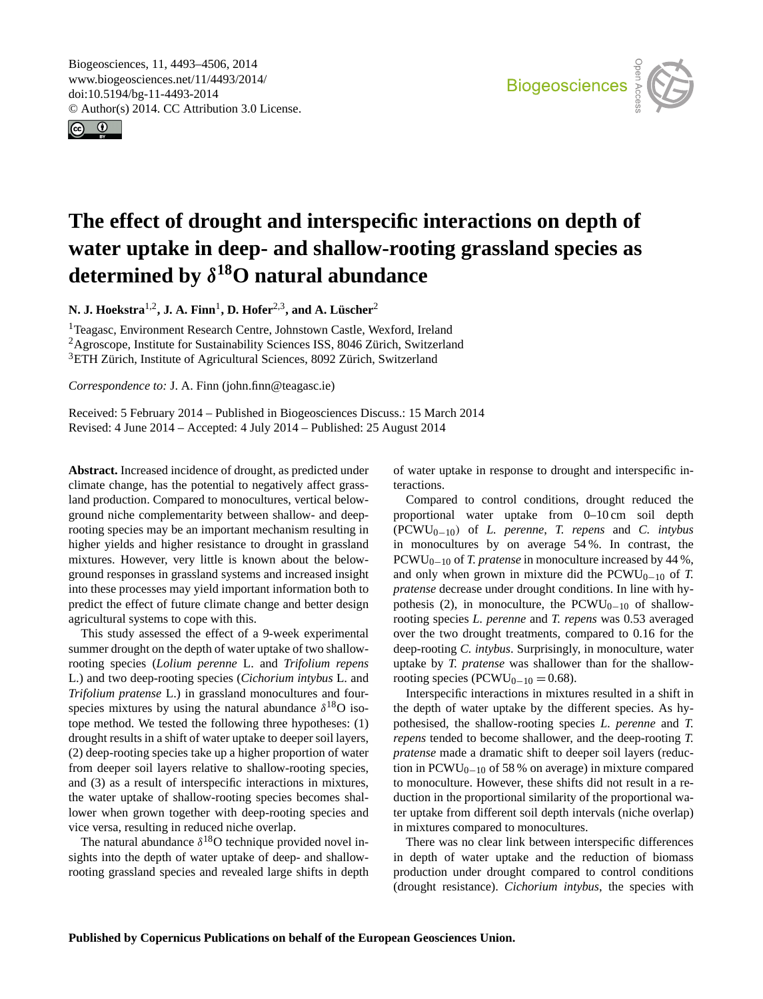<span id="page-1-0"></span>Biogeosciences, 11, 4493–4506, 2014 www.biogeosciences.net/11/4493/2014/ doi:10.5194/bg-11-4493-2014 © Author(s) 2014. CC Attribution 3.0 License.





# **The effect of drought and interspecific interactions on depth of water uptake in deep- and shallow-rooting grassland species as determined by** δ **<sup>18</sup>O natural abundance**

**N. J. Hoekstra**1,2**, J. A. Finn**<sup>1</sup> **, D. Hofer**2,3**, and A. Lüscher**<sup>2</sup>

<sup>1</sup>Teagasc, Environment Research Centre, Johnstown Castle, Wexford, Ireland <sup>2</sup>Agroscope, Institute for Sustainability Sciences ISS, 8046 Zürich, Switzerland <sup>3</sup>ETH Zürich, Institute of Agricultural Sciences, 8092 Zürich, Switzerland

*Correspondence to:* J. A. Finn (john.finn@teagasc.ie)

Received: 5 February 2014 – Published in Biogeosciences Discuss.: 15 March 2014 Revised: 4 June 2014 – Accepted: 4 July 2014 – Published: 25 August 2014

**Abstract.** Increased incidence of drought, as predicted under climate change, has the potential to negatively affect grassland production. Compared to monocultures, vertical belowground niche complementarity between shallow- and deeprooting species may be an important mechanism resulting in higher yields and higher resistance to drought in grassland mixtures. However, very little is known about the belowground responses in grassland systems and increased insight into these processes may yield important information both to predict the effect of future climate change and better design agricultural systems to cope with this.

This study assessed the effect of a 9-week experimental summer drought on the depth of water uptake of two shallowrooting species (*Lolium perenne* L. and *Trifolium repens* L.) and two deep-rooting species (*Cichorium intybus* L. and *Trifolium pratense* L.) in grassland monocultures and fourspecies mixtures by using the natural abundance  $\delta^{18}O$  isotope method. We tested the following three hypotheses: (1) drought results in a shift of water uptake to deeper soil layers, (2) deep-rooting species take up a higher proportion of water from deeper soil layers relative to shallow-rooting species, and (3) as a result of interspecific interactions in mixtures, the water uptake of shallow-rooting species becomes shallower when grown together with deep-rooting species and vice versa, resulting in reduced niche overlap.

The natural abundance  $\delta^{18}$ O technique provided novel insights into the depth of water uptake of deep- and shallowrooting grassland species and revealed large shifts in depth of water uptake in response to drought and interspecific interactions.

Compared to control conditions, drought reduced the proportional water uptake from 0–10 cm soil depth (PCWU0−10) of *L. perenne*, *T. repens* and *C. intybus* in monocultures by on average 54 %. In contrast, the PCWU<sub>0−10</sub> of *T. pratense* in monoculture increased by 44 %, and only when grown in mixture did the  $PCWU_{0-10}$  of *T*. *pratense* decrease under drought conditions. In line with hypothesis (2), in monoculture, the PCWU<sub>0−10</sub> of shallowrooting species *L. perenne* and *T. repens* was 0.53 averaged over the two drought treatments, compared to 0.16 for the deep-rooting *C. intybus*. Surprisingly, in monoculture, water uptake by *T. pratense* was shallower than for the shallowrooting species (PCWU<sub>0−10</sub> = 0.68).

Interspecific interactions in mixtures resulted in a shift in the depth of water uptake by the different species. As hypothesised, the shallow-rooting species *L. perenne* and *T. repens* tended to become shallower, and the deep-rooting *T. pratense* made a dramatic shift to deeper soil layers (reduction in  $PCWU_{0-10}$  of 58 % on average) in mixture compared to monoculture. However, these shifts did not result in a reduction in the proportional similarity of the proportional water uptake from different soil depth intervals (niche overlap) in mixtures compared to monocultures.

There was no clear link between interspecific differences in depth of water uptake and the reduction of biomass production under drought compared to control conditions (drought resistance). *Cichorium intybus*, the species with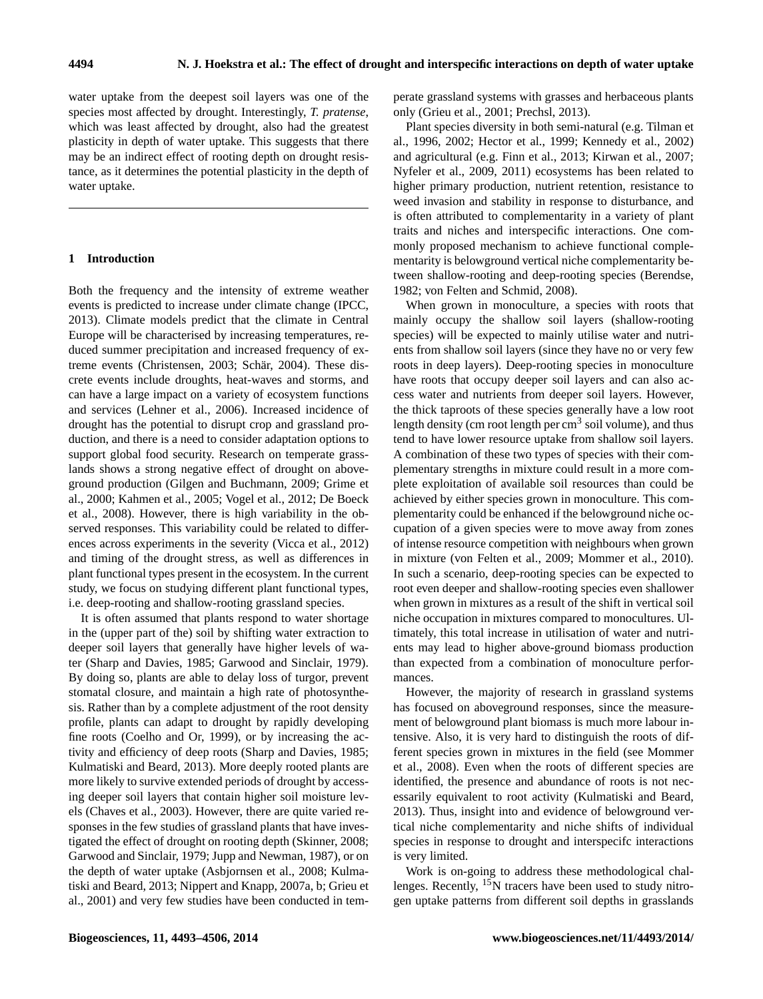water uptake from the deepest soil layers was one of the species most affected by drought. Interestingly, *T. pratense*, which was least affected by drought, also had the greatest plasticity in depth of water uptake. This suggests that there may be an indirect effect of rooting depth on drought resistance, as it determines the potential plasticity in the depth of water uptake.

## **1 Introduction**

Both the frequency and the intensity of extreme weather events is predicted to increase under climate change (IPCC, 2013). Climate models predict that the climate in Central Europe will be characterised by increasing temperatures, reduced summer precipitation and increased frequency of extreme events (Christensen, 2003; Schär, 2004). These discrete events include droughts, heat-waves and storms, and can have a large impact on a variety of ecosystem functions and services (Lehner et al., 2006). Increased incidence of drought has the potential to disrupt crop and grassland production, and there is a need to consider adaptation options to support global food security. Research on temperate grasslands shows a strong negative effect of drought on aboveground production (Gilgen and Buchmann, 2009; Grime et al., 2000; Kahmen et al., 2005; Vogel et al., 2012; De Boeck et al., 2008). However, there is high variability in the observed responses. This variability could be related to differences across experiments in the severity (Vicca et al., 2012) and timing of the drought stress, as well as differences in plant functional types present in the ecosystem. In the current study, we focus on studying different plant functional types, i.e. deep-rooting and shallow-rooting grassland species.

It is often assumed that plants respond to water shortage in the (upper part of the) soil by shifting water extraction to deeper soil layers that generally have higher levels of water (Sharp and Davies, 1985; Garwood and Sinclair, 1979). By doing so, plants are able to delay loss of turgor, prevent stomatal closure, and maintain a high rate of photosynthesis. Rather than by a complete adjustment of the root density profile, plants can adapt to drought by rapidly developing fine roots (Coelho and Or, 1999), or by increasing the activity and efficiency of deep roots (Sharp and Davies, 1985; Kulmatiski and Beard, 2013). More deeply rooted plants are more likely to survive extended periods of drought by accessing deeper soil layers that contain higher soil moisture levels (Chaves et al., 2003). However, there are quite varied responses in the few studies of grassland plants that have investigated the effect of drought on rooting depth (Skinner, 2008; Garwood and Sinclair, 1979; Jupp and Newman, 1987), or on the depth of water uptake (Asbjornsen et al., 2008; Kulmatiski and Beard, 2013; Nippert and Knapp, 2007a, b; Grieu et al., 2001) and very few studies have been conducted in temperate grassland systems with grasses and herbaceous plants only (Grieu et al., 2001; Prechsl, 2013).

Plant species diversity in both semi-natural (e.g. Tilman et al., 1996, 2002; Hector et al., 1999; Kennedy et al., 2002) and agricultural (e.g. Finn et al., 2013; Kirwan et al., 2007; Nyfeler et al., 2009, 2011) ecosystems has been related to higher primary production, nutrient retention, resistance to weed invasion and stability in response to disturbance, and is often attributed to complementarity in a variety of plant traits and niches and interspecific interactions. One commonly proposed mechanism to achieve functional complementarity is belowground vertical niche complementarity between shallow-rooting and deep-rooting species (Berendse, 1982; von Felten and Schmid, 2008).

When grown in monoculture, a species with roots that mainly occupy the shallow soil layers (shallow-rooting species) will be expected to mainly utilise water and nutrients from shallow soil layers (since they have no or very few roots in deep layers). Deep-rooting species in monoculture have roots that occupy deeper soil layers and can also access water and nutrients from deeper soil layers. However, the thick taproots of these species generally have a low root length density (cm root length per  $cm<sup>3</sup>$  soil volume), and thus tend to have lower resource uptake from shallow soil layers. A combination of these two types of species with their complementary strengths in mixture could result in a more complete exploitation of available soil resources than could be achieved by either species grown in monoculture. This complementarity could be enhanced if the belowground niche occupation of a given species were to move away from zones of intense resource competition with neighbours when grown in mixture (von Felten et al., 2009; Mommer et al., 2010). In such a scenario, deep-rooting species can be expected to root even deeper and shallow-rooting species even shallower when grown in mixtures as a result of the shift in vertical soil niche occupation in mixtures compared to monocultures. Ultimately, this total increase in utilisation of water and nutrients may lead to higher above-ground biomass production than expected from a combination of monoculture performances.

However, the majority of research in grassland systems has focused on aboveground responses, since the measurement of belowground plant biomass is much more labour intensive. Also, it is very hard to distinguish the roots of different species grown in mixtures in the field (see Mommer et al., 2008). Even when the roots of different species are identified, the presence and abundance of roots is not necessarily equivalent to root activity (Kulmatiski and Beard, 2013). Thus, insight into and evidence of belowground vertical niche complementarity and niche shifts of individual species in response to drought and interspecifc interactions is very limited.

Work is on-going to address these methodological challenges. Recently, <sup>15</sup>N tracers have been used to study nitrogen uptake patterns from different soil depths in grasslands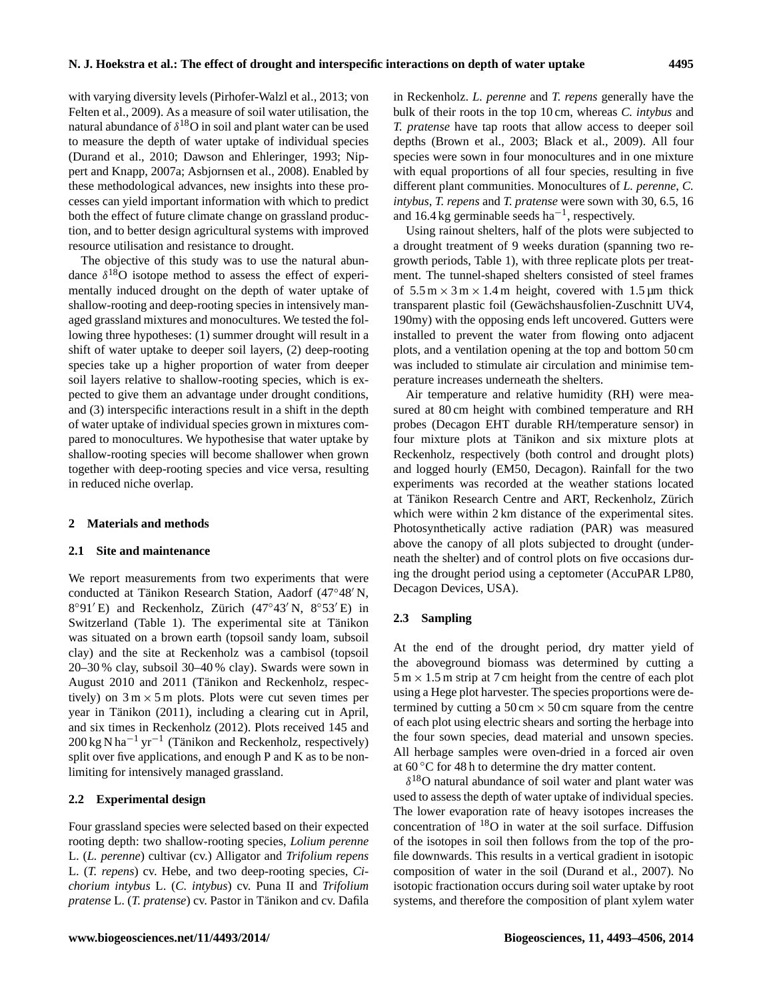with varying diversity levels (Pirhofer-Walzl et al., 2013; von Felten et al., 2009). As a measure of soil water utilisation, the natural abundance of  $\delta^{18}O$  in soil and plant water can be used to measure the depth of water uptake of individual species (Durand et al., 2010; Dawson and Ehleringer, 1993; Nippert and Knapp, 2007a; Asbjornsen et al., 2008). Enabled by these methodological advances, new insights into these processes can yield important information with which to predict both the effect of future climate change on grassland production, and to better design agricultural systems with improved resource utilisation and resistance to drought.

The objective of this study was to use the natural abundance  $\delta^{18}$ O isotope method to assess the effect of experimentally induced drought on the depth of water uptake of shallow-rooting and deep-rooting species in intensively managed grassland mixtures and monocultures. We tested the following three hypotheses: (1) summer drought will result in a shift of water uptake to deeper soil layers, (2) deep-rooting species take up a higher proportion of water from deeper soil layers relative to shallow-rooting species, which is expected to give them an advantage under drought conditions, and (3) interspecific interactions result in a shift in the depth of water uptake of individual species grown in mixtures compared to monocultures. We hypothesise that water uptake by shallow-rooting species will become shallower when grown together with deep-rooting species and vice versa, resulting in reduced niche overlap.

#### **2 Materials and methods**

#### **2.1 Site and maintenance**

We report measurements from two experiments that were conducted at Tänikon Research Station, Aadorf  $(47°48' N,$  $8°91'E$ ) and Reckenholz, Zürich (47°43' N,  $8°53'E$ ) in Switzerland (Table 1). The experimental site at Tänikon was situated on a brown earth (topsoil sandy loam, subsoil clay) and the site at Reckenholz was a cambisol (topsoil 20–30 % clay, subsoil 30–40 % clay). Swards were sown in August 2010 and 2011 (Tänikon and Reckenholz, respectively) on  $3 \text{ m} \times 5 \text{ m}$  plots. Plots were cut seven times per year in Tänikon (2011), including a clearing cut in April, and six times in Reckenholz (2012). Plots received 145 and 200 kg N ha<sup>-1</sup> yr<sup>-1</sup> (Tänikon and Reckenholz, respectively) split over five applications, and enough P and K as to be nonlimiting for intensively managed grassland.

#### **2.2 Experimental design**

Four grassland species were selected based on their expected rooting depth: two shallow-rooting species, *Lolium perenne* L. (*L. perenne*) cultivar (cv.) Alligator and *Trifolium repens* L. (*T. repens*) cv. Hebe, and two deep-rooting species, *Cichorium intybus* L. (*C. intybus*) cv. Puna II and *Trifolium pratense* L. (*T. pratense*) cv. Pastor in Tänikon and cv. Dafila in Reckenholz. *L. perenne* and *T. repens* generally have the bulk of their roots in the top 10 cm, whereas *C. intybus* and *T. pratense* have tap roots that allow access to deeper soil depths (Brown et al., 2003; Black et al., 2009). All four species were sown in four monocultures and in one mixture with equal proportions of all four species, resulting in five different plant communities. Monocultures of *L. perenne*, *C. intybus*, *T. repens* and *T. pratense* were sown with 30, 6.5, 16 and 16.4 kg germinable seeds  $ha^{-1}$ , respectively.

Using rainout shelters, half of the plots were subjected to a drought treatment of 9 weeks duration (spanning two regrowth periods, Table 1), with three replicate plots per treatment. The tunnel-shaped shelters consisted of steel frames of  $5.5 \text{ m} \times 3 \text{ m} \times 1.4 \text{ m}$  height, covered with  $1.5 \text{ }\mu\text{m}$  thick transparent plastic foil (Gewächshausfolien-Zuschnitt UV4, 190my) with the opposing ends left uncovered. Gutters were installed to prevent the water from flowing onto adjacent plots, and a ventilation opening at the top and bottom 50 cm was included to stimulate air circulation and minimise temperature increases underneath the shelters.

Air temperature and relative humidity (RH) were measured at 80 cm height with combined temperature and RH probes (Decagon EHT durable RH/temperature sensor) in four mixture plots at Tänikon and six mixture plots at Reckenholz, respectively (both control and drought plots) and logged hourly (EM50, Decagon). Rainfall for the two experiments was recorded at the weather stations located at Tänikon Research Centre and ART, Reckenholz, Zürich which were within 2 km distance of the experimental sites. Photosynthetically active radiation (PAR) was measured above the canopy of all plots subjected to drought (underneath the shelter) and of control plots on five occasions during the drought period using a ceptometer (AccuPAR LP80, Decagon Devices, USA).

#### **2.3 Sampling**

At the end of the drought period, dry matter yield of the aboveground biomass was determined by cutting a  $5 \text{ m} \times 1.5 \text{ m}$  strip at 7 cm height from the centre of each plot using a Hege plot harvester. The species proportions were determined by cutting a  $50 \text{ cm} \times 50 \text{ cm}$  square from the centre of each plot using electric shears and sorting the herbage into the four sown species, dead material and unsown species. All herbage samples were oven-dried in a forced air oven at 60 ◦C for 48 h to determine the dry matter content.

 $\delta^{18}$ O natural abundance of soil water and plant water was used to assess the depth of water uptake of individual species. The lower evaporation rate of heavy isotopes increases the concentration of  $18$ O in water at the soil surface. Diffusion of the isotopes in soil then follows from the top of the profile downwards. This results in a vertical gradient in isotopic composition of water in the soil (Durand et al., 2007). No isotopic fractionation occurs during soil water uptake by root systems, and therefore the composition of plant xylem water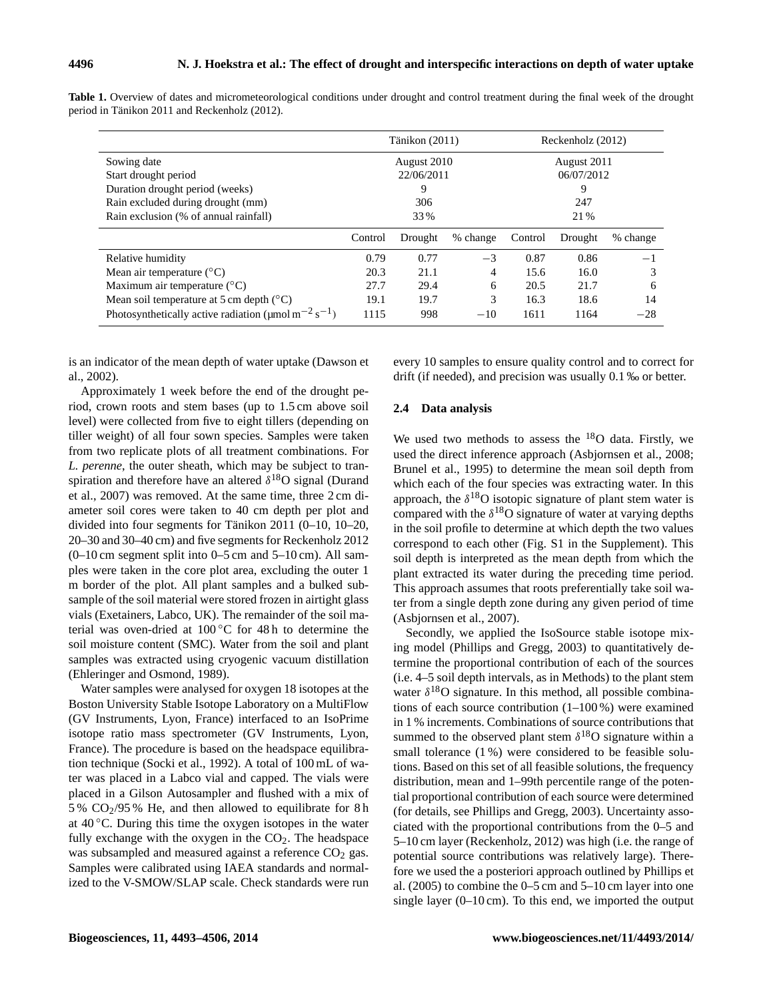|                                                                                   |         | Tänikon (2011) |          | Reckenholz (2012) |         |          |  |
|-----------------------------------------------------------------------------------|---------|----------------|----------|-------------------|---------|----------|--|
| Sowing date                                                                       |         | August 2010    |          | August 2011       |         |          |  |
| Start drought period                                                              |         | 22/06/2011     |          | 06/07/2012        |         |          |  |
| Duration drought period (weeks)                                                   |         | 9              |          | 9                 |         |          |  |
| Rain excluded during drought (mm)                                                 |         | 306            |          | 247               |         |          |  |
| Rain exclusion (% of annual rainfall)                                             |         | 33 %           |          | 21 %              |         |          |  |
|                                                                                   | Control | Drought        | % change | Control           | Drought | % change |  |
| Relative humidity                                                                 | 0.79    | 0.77           | $-3$     | 0.87              | 0.86    | —1       |  |
| Mean air temperature $(^{\circ}C)$                                                | 20.3    | 21.1           | 4        | 15.6              | 16.0    | 3        |  |
| Maximum air temperature $({}^{\circ}C)$                                           | 27.7    | 29.4           | 6        | 20.5              | 21.7    | 6        |  |
| Mean soil temperature at 5 cm depth $(^{\circ}C)$                                 | 19.1    | 19.7           | 3        | 16.3              | 18.6    | 14       |  |
| Photosynthetically active radiation ( $\mu$ mol m <sup>-2</sup> s <sup>-1</sup> ) | 1115    | 998            | $-10$    | 1611              | 1164    | $-28$    |  |

**Table 1.** Overview of dates and micrometeorological conditions under drought and control treatment during the final week of the drought period in Tänikon 2011 and Reckenholz (2012).

is an indicator of the mean depth of water uptake (Dawson et al., 2002).

Approximately 1 week before the end of the drought period, crown roots and stem bases (up to 1.5 cm above soil level) were collected from five to eight tillers (depending on tiller weight) of all four sown species. Samples were taken from two replicate plots of all treatment combinations. For *L. perenne*, the outer sheath, which may be subject to transpiration and therefore have an altered  $\delta^{18}O$  signal (Durand et al., 2007) was removed. At the same time, three 2 cm diameter soil cores were taken to 40 cm depth per plot and divided into four segments for Tänikon 2011 (0–10, 10–20, 20–30 and 30–40 cm) and five segments for Reckenholz 2012 (0–10 cm segment split into 0–5 cm and 5–10 cm). All samples were taken in the core plot area, excluding the outer 1 m border of the plot. All plant samples and a bulked subsample of the soil material were stored frozen in airtight glass vials (Exetainers, Labco, UK). The remainder of the soil material was oven-dried at 100 ◦C for 48 h to determine the soil moisture content (SMC). Water from the soil and plant samples was extracted using cryogenic vacuum distillation (Ehleringer and Osmond, 1989).

Water samples were analysed for oxygen 18 isotopes at the Boston University Stable Isotope Laboratory on a MultiFlow (GV Instruments, Lyon, France) interfaced to an IsoPrime isotope ratio mass spectrometer (GV Instruments, Lyon, France). The procedure is based on the headspace equilibration technique (Socki et al., 1992). A total of 100 mL of water was placed in a Labco vial and capped. The vials were placed in a Gilson Autosampler and flushed with a mix of 5 %  $CO<sub>2</sub>/95$  % He, and then allowed to equilibrate for 8 h at  $40^{\circ}$ C. During this time the oxygen isotopes in the water fully exchange with the oxygen in the  $CO<sub>2</sub>$ . The headspace was subsampled and measured against a reference  $CO<sub>2</sub>$  gas. Samples were calibrated using IAEA standards and normalized to the V-SMOW/SLAP scale. Check standards were run

every 10 samples to ensure quality control and to correct for drift (if needed), and precision was usually 0.1 ‰ or better.

#### **2.4 Data analysis**

We used two methods to assess the  $18$ O data. Firstly, we used the direct inference approach (Asbjornsen et al., 2008; Brunel et al., 1995) to determine the mean soil depth from which each of the four species was extracting water. In this approach, the  $\delta^{18}$ O isotopic signature of plant stem water is compared with the  $\delta^{18}O$  signature of water at varying depths in the soil profile to determine at which depth the two values correspond to each other (Fig. S1 in the Supplement). This soil depth is interpreted as the mean depth from which the plant extracted its water during the preceding time period. This approach assumes that roots preferentially take soil water from a single depth zone during any given period of time (Asbjornsen et al., 2007).

Secondly, we applied the IsoSource stable isotope mixing model (Phillips and Gregg, 2003) to quantitatively determine the proportional contribution of each of the sources (i.e. 4–5 soil depth intervals, as in Methods) to the plant stem water  $\delta^{18}$ O signature. In this method, all possible combinations of each source contribution (1–100 %) were examined in 1 % increments. Combinations of source contributions that summed to the observed plant stem  $\delta^{18}$ O signature within a small tolerance (1 %) were considered to be feasible solutions. Based on this set of all feasible solutions, the frequency distribution, mean and 1–99th percentile range of the potential proportional contribution of each source were determined (for details, see Phillips and Gregg, 2003). Uncertainty associated with the proportional contributions from the 0–5 and 5–10 cm layer (Reckenholz, 2012) was high (i.e. the range of potential source contributions was relatively large). Therefore we used the a posteriori approach outlined by Phillips et al. (2005) to combine the 0–5 cm and 5–10 cm layer into one single layer (0–10 cm). To this end, we imported the output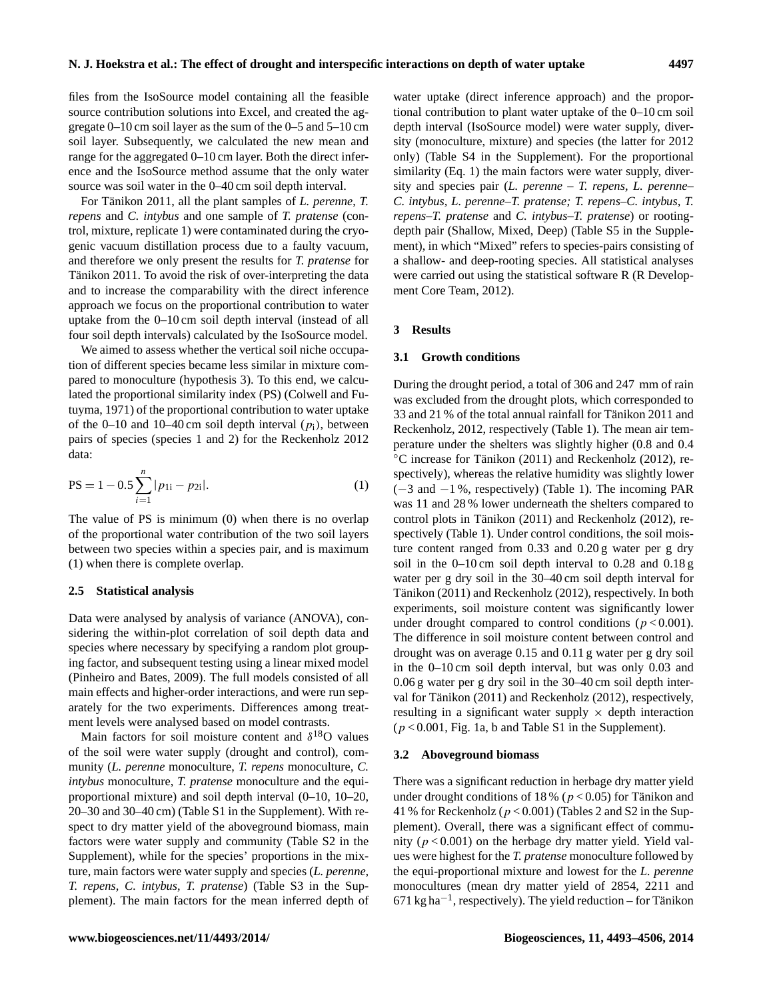files from the IsoSource model containing all the feasible source contribution solutions into Excel, and created the aggregate 0–10 cm soil layer as the sum of the 0–5 and 5–10 cm soil layer. Subsequently, we calculated the new mean and range for the aggregated 0–10 cm layer. Both the direct inference and the IsoSource method assume that the only water source was soil water in the 0–40 cm soil depth interval.

For Tänikon 2011, all the plant samples of *L. perenne*, *T. repens* and *C. intybus* and one sample of *T. pratense* (control, mixture, replicate 1) were contaminated during the cryogenic vacuum distillation process due to a faulty vacuum, and therefore we only present the results for *T. pratense* for Tänikon 2011. To avoid the risk of over-interpreting the data and to increase the comparability with the direct inference approach we focus on the proportional contribution to water uptake from the 0–10 cm soil depth interval (instead of all four soil depth intervals) calculated by the IsoSource model.

We aimed to assess whether the vertical soil niche occupation of different species became less similar in mixture compared to monoculture (hypothesis 3). To this end, we calculated the proportional similarity index (PS) (Colwell and Futuyma, 1971) of the proportional contribution to water uptake of the 0–10 and 10–40 cm soil depth interval  $(p_i)$ , between pairs of species (species 1 and 2) for the Reckenholz 2012 data:

$$
PS = 1 - 0.5 \sum_{i=1}^{n} |p_{1i} - p_{2i}|.
$$
 (1)

The value of PS is minimum (0) when there is no overlap of the proportional water contribution of the two soil layers between two species within a species pair, and is maximum (1) when there is complete overlap.

#### **2.5 Statistical analysis**

Data were analysed by analysis of variance (ANOVA), considering the within-plot correlation of soil depth data and species where necessary by specifying a random plot grouping factor, and subsequent testing using a linear mixed model (Pinheiro and Bates, 2009). The full models consisted of all main effects and higher-order interactions, and were run separately for the two experiments. Differences among treatment levels were analysed based on model contrasts.

Main factors for soil moisture content and  $\delta^{18}O$  values of the soil were water supply (drought and control), community (*L. perenne* monoculture, *T. repens* monoculture, *C. intybus* monoculture, *T. pratense* monoculture and the equiproportional mixture) and soil depth interval (0–10, 10–20, 20–30 and 30–40 cm) (Table S1 in the Supplement). With respect to dry matter yield of the aboveground biomass, main factors were water supply and community (Table S2 in the Supplement), while for the species' proportions in the mixture, main factors were water supply and species (*L. perenne, T. repens, C. intybus*, *T. pratense*) (Table S3 in the Supplement). The main factors for the mean inferred depth of water uptake (direct inference approach) and the proportional contribution to plant water uptake of the 0–10 cm soil depth interval (IsoSource model) were water supply, diversity (monoculture, mixture) and species (the latter for 2012 only) (Table S4 in the Supplement). For the proportional similarity (Eq. 1) the main factors were water supply, diversity and species pair (*L. perenne* – *T. repens, L. perenne– C. intybus, L. perenne–T. pratense; T. repens–C. intybus, T. repens–T. pratense* and *C. intybus–T. pratense*) or rootingdepth pair (Shallow, Mixed, Deep) (Table S5 in the Supplement), in which "Mixed" refers to species-pairs consisting of a shallow- and deep-rooting species. All statistical analyses were carried out using the statistical software R (R Development Core Team, 2012).

#### **3 Results**

#### **3.1 Growth conditions**

During the drought period, a total of 306 and 247 mm of rain was excluded from the drought plots, which corresponded to 33 and 21 % of the total annual rainfall for Tänikon 2011 and Reckenholz, 2012, respectively (Table 1). The mean air temperature under the shelters was slightly higher (0.8 and 0.4 ◦C increase for Tänikon (2011) and Reckenholz (2012), respectively), whereas the relative humidity was slightly lower (−3 and −1 %, respectively) (Table 1). The incoming PAR was 11 and 28 % lower underneath the shelters compared to control plots in Tänikon (2011) and Reckenholz (2012), respectively (Table 1). Under control conditions, the soil moisture content ranged from 0.33 and 0.20 g water per g dry soil in the 0–10 cm soil depth interval to 0.28 and 0.18 g water per g dry soil in the 30–40 cm soil depth interval for Tänikon (2011) and Reckenholz (2012), respectively. In both experiments, soil moisture content was significantly lower under drought compared to control conditions ( $p < 0.001$ ). The difference in soil moisture content between control and drought was on average 0.15 and 0.11 g water per g dry soil in the 0–10 cm soil depth interval, but was only 0.03 and 0.06 g water per g dry soil in the 30–40 cm soil depth interval for Tänikon (2011) and Reckenholz (2012), respectively, resulting in a significant water supply  $\times$  depth interaction  $(p < 0.001$ , Fig. 1a, b and Table S1 in the Supplement).

#### **3.2 Aboveground biomass**

There was a significant reduction in herbage dry matter yield under drought conditions of 18 % ( $p < 0.05$ ) for Tänikon and 41 % for Reckenholz ( $p < 0.001$ ) (Tables 2 and S2 in the Supplement). Overall, there was a significant effect of community ( $p < 0.001$ ) on the herbage dry matter yield. Yield values were highest for the *T. pratense* monoculture followed by the equi-proportional mixture and lowest for the *L. perenne* monocultures (mean dry matter yield of 2854, 2211 and 671 kg ha−<sup>1</sup> , respectively). The yield reduction – for Tänikon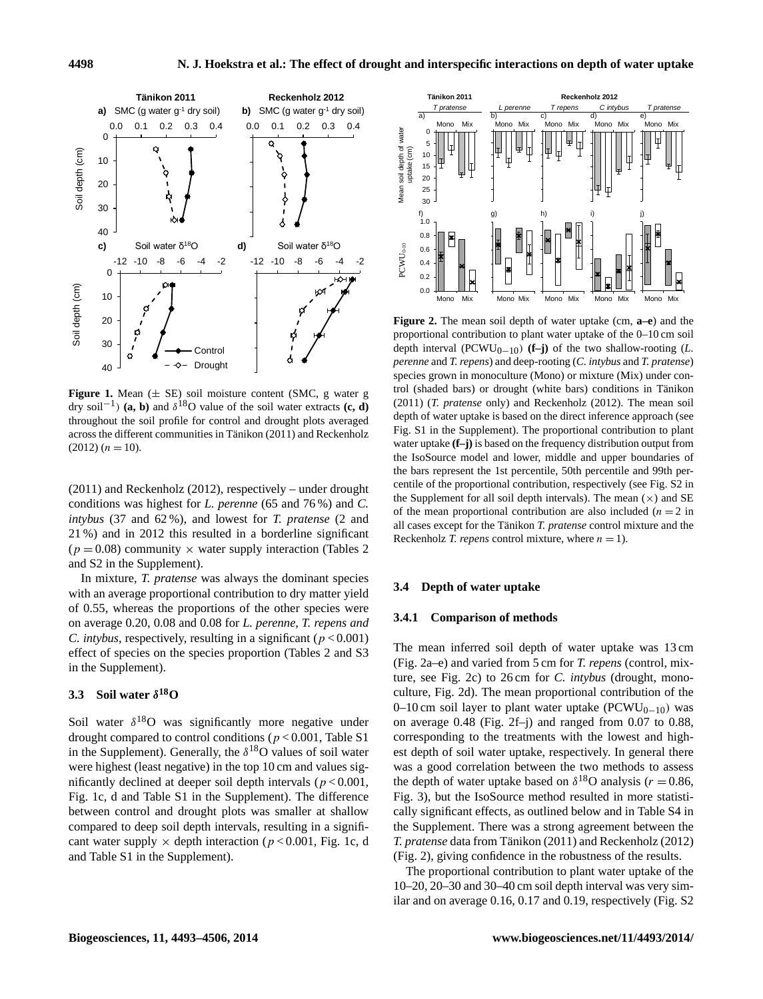

dry soil<sup>-1</sup>) **(a, b)** and  $\delta^{18}$ O value of the soil water extracts **(c, d)**  $(2011)$  *(T. prater*) throughout the soil profile for control and drought plots averaged and Repute of National Profile and Record 201 **Figure 1.** Mean  $(\pm$  SE) soil moisture content (SMC, g water g across the different communities in Tänikon (2011) and Reckenholz  $(2012) (n = 10).$ 

(2011) and Reckenholz (2012), respectively – under drought conditions was highest for *L. perenne* (65 and 76 %) and *C. intybus* (37 and 62 %), and lowest for *T. pratense* (2 and 21 %) and in 2012 this resulted in a borderline significant  $(p = 0.08)$  community  $\times$  water supply interaction (Tables 2) and S2 in the Supplement).

In mixture, *T. pratense* was always the dominant species with an average proportional contribution to dry matter yield of 0.55, whereas the proportions of the other species were on average 0.20, 0.08 and 0.08 for *L. perenne, T. repens and C. intybus, respectively, resulting in a significant (* $p < 0.001$ *)* effect of species on the species proportion (Tables 2 and S3 in the Supplement).

# **3.3 Soil water** δ **<sup>18</sup>O**

Soil water  $\delta^{18}$ O was significantly more negative under drought compared to control conditions ( $p < 0.001$ , Table S1 in the Supplement). Generally, the  $\delta^{18}O$  values of soil water were highest (least negative) in the top 10 cm and values significantly declined at deeper soil depth intervals ( $p < 0.001$ , Fig. 1c, d and Table S1 in the Supplement). The difference between control and drought plots was smaller at shallow compared to deep soil depth intervals, resulting in a significant water supply  $\times$  depth interaction ( $p < 0.001$ , Fig. 1c, d and Table S1 in the Supplement).



) (a, b) and δ<sup>18</sup> 891 O value 900 conditions in Tänikon, 2011 (*T pratense* only) and Reckenholz, 2012. The mean soil depth of trol (shaded bars) or drought (white bars) conditions in Tänikon **Figure 2.** The mean soil depth of water uptake (cm, **a–e**) and the proportional contribution to plant water uptake of the 0–10 cm soil depth interval ( $PCWU_{0-10}$ ) (**f–j**) of the two shallow-rooting (*L*. *perenne* and *T. repens*) and deep-rooting (*C. intybus* and *T. pratense*) (2011) (*T. pratense* only) and Reckenholz (2012). The mean soil depth of water uptake is based on the direct inference approach (see Fig. S1 in the Supplement). The proportional contribution to plant water uptake  $(f-j)$  is based on the frequency distribution output from the IsoSource model and lower, middle and upper boundaries of the bars represent the 1st percentile, 50th percentile and 99th per-<sup>2</sup><sub>1</sub> centile of the proportional contribution, respectively (see Fig. S2 in species grown in monoculture (Mono) or mixture (Mix) under conthe Supplement for all soil depth intervals). The mean  $(\times)$  and SE of the mean proportional contribution are also included  $(n = 2$  in all cases except for the Tänikon *T. pratense* control mixture and the Reckenholz *T. repens* control mixture, where  $n = 1$ .

#### **3.4 Depth of water uptake**

#### **3.4.1 Comparison of methods**

the Supplement. There was a strong agreement between the The mean inferred soil depth of water uptake was 13 cm (Fig. 2a–e) and varied from 5 cm for *T. repens* (control, mixture, see Fig. 2c) to 26 cm for *C. intybus* (drought, monoculture, Fig. 2d). The mean proportional contribution of the 0–10 cm soil layer to plant water uptake ( $PCWU_{0-10}$ ) was on average 0.48 (Fig. 2f–j) and ranged from 0.07 to 0.88, corresponding to the treatments with the lowest and highest depth of soil water uptake, respectively. In general there was a good correlation between the two methods to assess the depth of water uptake based on  $\delta^{18}$ O analysis ( $r = 0.86$ , Fig. 3), but the IsoSource method resulted in more statistically significant effects, as outlined below and in Table S4 in *T. pratense* data from Tänikon (2011) and Reckenholz (2012) (Fig. 2), giving confidence in the robustness of the results.

The proportional contribution to plant water uptake of the 10–20, 20–30 and 30–40 cm soil depth interval was very similar and on average 0.16, 0.17 and 0.19, respectively (Fig. S2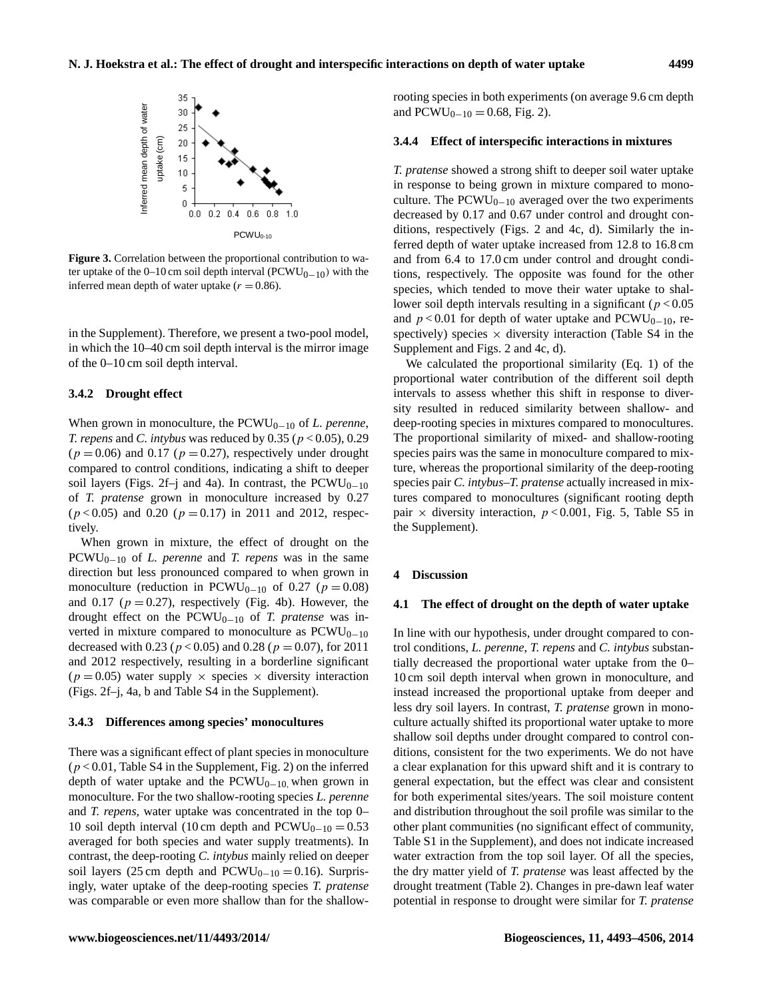

**Figure 3.** Correlation between the proportional contribution to wa-<br>and from 6.4 to 17.0 cm u ter uptake of the 0–10 cm soil depth interval ( $PCWU_{0-10}$ ) with the tions, respectively. The inferred mean depth of water uptake  $(r = 0.86)$ .

in the Supplement). Therefore, we present a two-pool model, in which the 10–40 cm soil depth interval is the mirror image of the 0–10 cm soil depth interval.

#### **3.4.2 Drought effect**

When grown in monoculture, the PCWU<sub>0−10</sub> of *L. perenne*, *T. repens* and *C. intybus* was reduced by 0.35 (p < 0.05), 0.29  $(p = 0.06)$  and 0.17 ( $p = 0.27$ ), respectively under drought compared to control conditions, indicating a shift to deeper soil layers (Figs. 2f–j and 4a). In contrast, the  $PCWU_{0-10}$ of *T. pratense* grown in monoculture increased by 0.27  $(p < 0.05)$  and 0.20  $(p = 0.17)$  in 2011 and 2012, respectively.

When grown in mixture, the effect of drought on the PCWU0−<sup>10</sup> of *L. perenne* and *T. repens* was in the same direction but less pronounced compared to when grown in monoculture (reduction in PCWU<sub>0−10</sub> of 0.27 ( $p = 0.08$ ) and 0.17 ( $p = 0.27$ ), respectively (Fig. 4b). However, the drought effect on the PCWU<sub>0−10</sub> of *T. pratense* was inverted in mixture compared to monoculture as  $PCWU_{0-10}$ decreased with 0.23 ( $p < 0.05$ ) and 0.28 ( $p = 0.07$ ), for 2011 and 2012 respectively, resulting in a borderline significant  $(p = 0.05)$  water supply  $\times$  species  $\times$  diversity interaction (Figs. 2f–j, 4a, b and Table S4 in the Supplement).

#### **3.4.3 Differences among species' monocultures**

There was a significant effect of plant species in monoculture  $(p < 0.01$ , Table S4 in the Supplement, Fig. 2) on the inferred depth of water uptake and the  $PCWU_{0-10}$ , when grown in monoculture. For the two shallow-rooting species *L. perenne* and *T. repens,* water uptake was concentrated in the top 0– 10 soil depth interval (10 cm depth and  $PCWU_{0-10} = 0.53$ averaged for both species and water supply treatments). In contrast, the deep-rooting *C. intybus* mainly relied on deeper soil layers (25 cm depth and  $PCWU_{0-10} = 0.16$ ). Surprisingly, water uptake of the deep-rooting species *T. pratense* was comparable or even more shallow than for the shallowrooting species in both experiments (on average 9.6 cm depth and  $PCWU_{0-10} = 0.68$ , Fig. 2).

#### **3.4.4 Effect of interspecific interactions in mixtures**

*T. pratense* showed a strong shift to deeper soil water uptake in response to being grown in mixture compared to monoculture. The  $PCWU_{0-10}$  averaged over the two experiments decreased by 0.17 and 0.67 under control and drought conditions, respectively (Figs. 2 and 4c, d). Similarly the inferred depth of water uptake increased from 12.8 to 16.8 cm and from 6.4 to 17.0 cm under control and drought conditions, respectively. The opposite was found for the other species, which tended to move their water uptake to shallower soil depth intervals resulting in a significant ( $p < 0.05$ ) and  $p < 0.01$  for depth of water uptake and PCWU<sub>0−10</sub>, respectively) species  $\times$  diversity interaction (Table S4 in the Supplement and Figs. 2 and 4c, d).

We calculated the proportional similarity (Eq. 1) of the proportional water contribution of the different soil depth intervals to assess whether this shift in response to diversity resulted in reduced similarity between shallow- and deep-rooting species in mixtures compared to monocultures. The proportional similarity of mixed- and shallow-rooting species pairs was the same in monoculture compared to mixture, whereas the proportional similarity of the deep-rooting species pair *C. intybus*–*T. pratense* actually increased in mixtures compared to monocultures (significant rooting depth pair  $\times$  diversity interaction,  $p < 0.001$ , Fig. 5, Table S5 in the Supplement).

#### **4 Discussion**

#### **4.1 The effect of drought on the depth of water uptake**

for both experimental sites/years. The soil moisture content In line with our hypothesis, under drought compared to control conditions, *L. perenne*, *T. repens* and *C. intybus* substantially decreased the proportional water uptake from the 0– 10 cm soil depth interval when grown in monoculture, and instead increased the proportional uptake from deeper and less dry soil layers. In contrast, *T. pratense* grown in monoculture actually shifted its proportional water uptake to more shallow soil depths under drought compared to control conditions, consistent for the two experiments. We do not have a clear explanation for this upward shift and it is contrary to general expectation, but the effect was clear and consistent and distribution throughout the soil profile was similar to the other plant communities (no significant effect of community, Table S1 in the Supplement), and does not indicate increased water extraction from the top soil layer. Of all the species, the dry matter yield of *T. pratense* was least affected by the drought treatment (Table 2). Changes in pre-dawn leaf water potential in response to drought were similar for *T. pratense*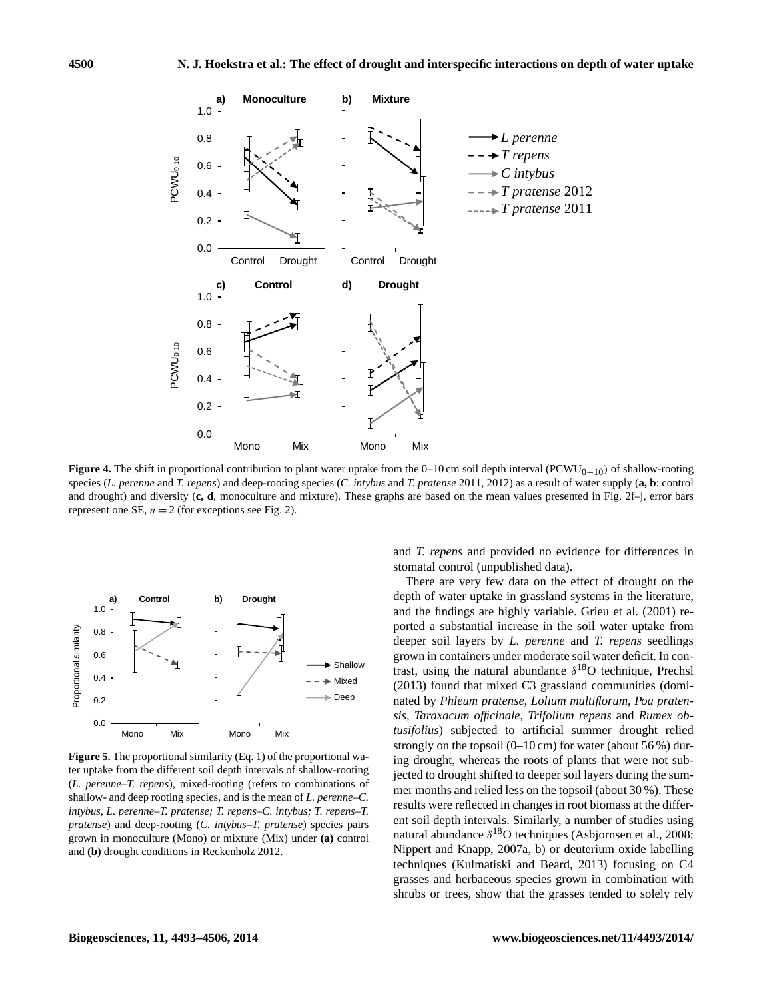

**Figure 4.** The shift in proportional contribution to plant water uptake from the  $0-10$  cm soil depth interval ( $PCWU_{0-10}$ ) of shallow-rooting species (*L. perenne* and *T. repens*) and deep-rooting species (*C. intybus* and *T. pratense* 2011, 2012) as a result of water supply (**a**, **b**: control represent one SE,  $n = 2$  (for exceptions see Fig. 2). and drought) and diversity (**c, d**, monoculture and mixture). These graphs are based on the mean values presented in Fig. 2f–j, error bars



**Figure 5.** The proportional similarity (Eq. 1) of the proportional wa-<br>in o drough ter uptake from the different soil depth intervals of shallow-rooting *intervals* of chronol (*L. perenne–T. repens*), mixed-rooting (refers to combinations of *mer montl intybus, L. perenne–T. pratense; T. repens–C. intybus; T. repens–T.* results were re *pratense*) and deep-rooting (*C. intybus–T. pratense*) species pairs ent son depth in grown in monoculture (Mono) or mixture (Mix) under **(a)** control shallow- and deep rooting species, and is the mean of *L. perenne–C.* and **(b)** drought conditions in Reckenholz 2012.

and *T. repens* and provided no evidence for differences in stomatal control (unpublished data).

> There are very few data on the effect of drought on the depth of water uptake in grassland systems in the literature, and the findings are highly variable. Grieu et al. (2001) reported a substantial increase in the soil water uptake from deeper soil layers by *L. perenne* and *T. repens* seedlings grown in containers under moderate soil water deficit. In contrast, using the natural abundance  $\delta^{18}$ O technique, Prechsl (2013) found that mixed C3 grassland communities (dominated by *Phleum pratense*, *Lolium multiflorum*, *Poa pratensis*, *Taraxacum officinale*, *Trifolium repens* and *Rumex obtusifolius*) subjected to artificial summer drought relied strongly on the topsoil  $(0-10 \text{ cm})$  for water (about 56%) during drought, whereas the roots of plants that were not subjected to drought shifted to deeper soil layers during the summer months and relied less on the topsoil (about 30 %). These results were reflected in changes in root biomass at the different soil depth intervals. Similarly, a number of studies using natural abundance  $\delta^{18}O$  techniques (Asbjornsen et al., 2008; Nippert and Knapp, 2007a, b) or deuterium oxide labelling techniques (Kulmatiski and Beard, 2013) focusing on C4 grasses and herbaceous species grown in combination with shrubs or trees, show that the grasses tended to solely rely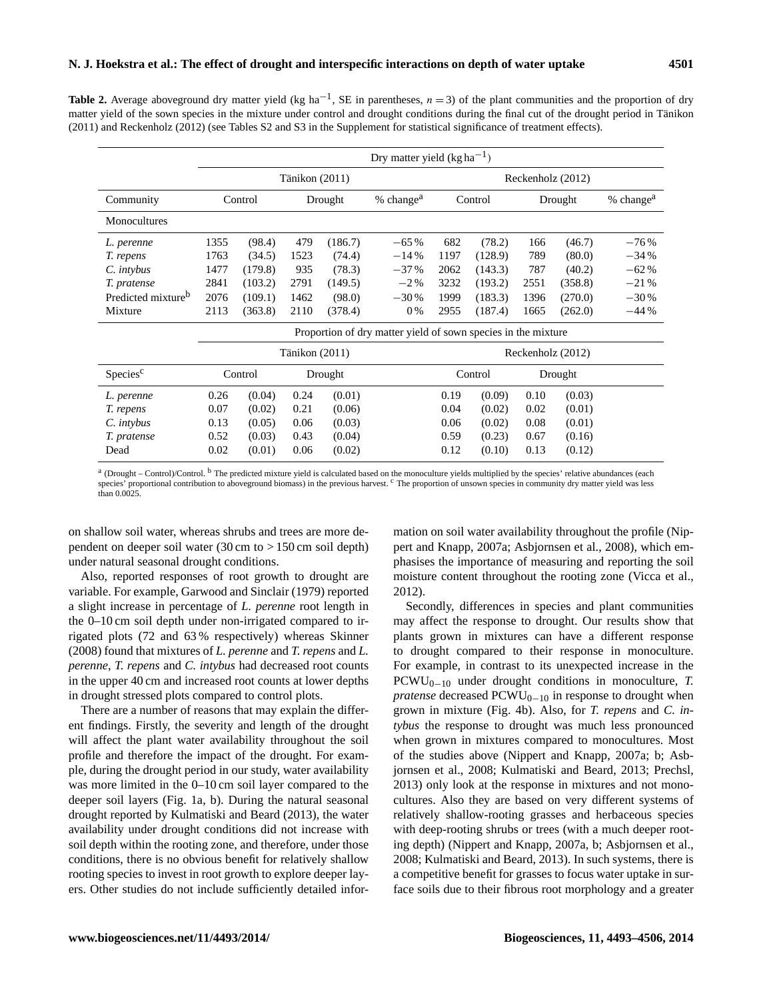**Table 2.** Average aboveground dry matter yield (kg ha<sup>-1</sup>, SE in parentheses,  $n = 3$ ) of the plant communities and the proportion of dry matter yield of the sown species in the mixture under control and drought conditions during the final cut of the drought period in Tänikon (2011) and Reckenholz (2012) (see Tables S2 and S3 in the Supplement for statistical significance of treatment effects).

|                                                               | Dry matter yield $(kg ha^{-1})$ |         |         |         |                         |                   |         |         |         |                       |
|---------------------------------------------------------------|---------------------------------|---------|---------|---------|-------------------------|-------------------|---------|---------|---------|-----------------------|
|                                                               | Tänikon (2011)                  |         |         |         | Reckenholz (2012)       |                   |         |         |         |                       |
| Community                                                     |                                 | Control | Drought |         | $%$ change <sup>a</sup> | Control           |         | Drought |         | % change <sup>a</sup> |
| Monocultures                                                  |                                 |         |         |         |                         |                   |         |         |         |                       |
| L. perenne                                                    | 1355                            | (98.4)  | 479     | (186.7) | $-65%$                  | 682               | (78.2)  | 166     | (46.7)  | $-76%$                |
| T. repens                                                     | 1763                            | (34.5)  | 1523    | (74.4)  | $-14%$                  | 1197              | (128.9) | 789     | (80.0)  | $-34%$                |
| C. intybus                                                    | 1477                            | (179.8) | 935     | (78.3)  | $-37\%$                 | 2062              | (143.3) | 787     | (40.2)  | $-62%$                |
| T. pratense                                                   | 2841                            | (103.2) | 2791    | (149.5) | $-2\%$                  | 3232              | (193.2) | 2551    | (358.8) | $-21%$                |
| Predicted mixture <sup>b</sup>                                | 2076                            | (109.1) | 1462    | (98.0)  | $-30\%$                 | 1999              | (183.3) | 1396    | (270.0) | $-30%$                |
| Mixture                                                       | 2113                            | (363.8) | 2110    | (378.4) | $0\%$                   | 2955              | (187.4) | 1665    | (262.0) | $-44%$                |
| Proportion of dry matter yield of sown species in the mixture |                                 |         |         |         |                         |                   |         |         |         |                       |
|                                                               | Tänikon (2011)                  |         |         |         |                         | Reckenholz (2012) |         |         |         |                       |
| Species <sup>c</sup>                                          |                                 | Control | Drought |         |                         | Control           |         | Drought |         |                       |
| L. perenne                                                    | 0.26                            | (0.04)  | 0.24    | (0.01)  |                         | 0.19              | (0.09)  | 0.10    | (0.03)  |                       |
| T. repens                                                     | 0.07                            | (0.02)  | 0.21    | (0.06)  |                         | 0.04              | (0.02)  | 0.02    | (0.01)  |                       |
| C. intybus                                                    | 0.13                            | (0.05)  | 0.06    | (0.03)  |                         | 0.06              | (0.02)  | 0.08    | (0.01)  |                       |
| T. pratense                                                   | 0.52                            | (0.03)  | 0.43    | (0.04)  |                         | 0.59              | (0.23)  | 0.67    | (0.16)  |                       |
| Dead                                                          | 0.02                            | (0.01)  | 0.06    | (0.02)  |                         | 0.12              | (0.10)  | 0.13    | (0.12)  |                       |

<sup>a</sup> (Drought – Control)/Control. <sup>b</sup> The predicted mixture yield is calculated based on the monoculture yields multiplied by the species' relative abundances (each species' proportional contribution to aboveground biomass) in the previous harvest. <sup>c</sup> The proportion of unsown species in community dry matter yield was less than 0.0025.

on shallow soil water, whereas shrubs and trees are more dependent on deeper soil water (30 cm to > 150 cm soil depth) under natural seasonal drought conditions.

Also, reported responses of root growth to drought are variable. For example, Garwood and Sinclair (1979) reported a slight increase in percentage of *L. perenne* root length in the 0–10 cm soil depth under non-irrigated compared to irrigated plots (72 and 63 % respectively) whereas Skinner (2008) found that mixtures of *L. perenne* and *T. repens* and *L. perenne*, *T. repens* and *C. intybus* had decreased root counts in the upper 40 cm and increased root counts at lower depths in drought stressed plots compared to control plots.

There are a number of reasons that may explain the different findings. Firstly, the severity and length of the drought will affect the plant water availability throughout the soil profile and therefore the impact of the drought. For example, during the drought period in our study, water availability was more limited in the 0–10 cm soil layer compared to the deeper soil layers (Fig. 1a, b). During the natural seasonal drought reported by Kulmatiski and Beard (2013), the water availability under drought conditions did not increase with soil depth within the rooting zone, and therefore, under those conditions, there is no obvious benefit for relatively shallow rooting species to invest in root growth to explore deeper layers. Other studies do not include sufficiently detailed information on soil water availability throughout the profile (Nippert and Knapp, 2007a; Asbjornsen et al., 2008), which emphasises the importance of measuring and reporting the soil moisture content throughout the rooting zone (Vicca et al., 2012).

Secondly, differences in species and plant communities may affect the response to drought. Our results show that plants grown in mixtures can have a different response to drought compared to their response in monoculture. For example, in contrast to its unexpected increase in the PCWU0−<sup>10</sup> under drought conditions in monoculture, *T. pratense* decreased PCWU<sub>0−10</sub> in response to drought when grown in mixture (Fig. 4b). Also, for *T. repens* and *C. intybus* the response to drought was much less pronounced when grown in mixtures compared to monocultures. Most of the studies above (Nippert and Knapp, 2007a; b; Asbjornsen et al., 2008; Kulmatiski and Beard, 2013; Prechsl, 2013) only look at the response in mixtures and not monocultures. Also they are based on very different systems of relatively shallow-rooting grasses and herbaceous species with deep-rooting shrubs or trees (with a much deeper rooting depth) (Nippert and Knapp, 2007a, b; Asbjornsen et al., 2008; Kulmatiski and Beard, 2013). In such systems, there is a competitive benefit for grasses to focus water uptake in surface soils due to their fibrous root morphology and a greater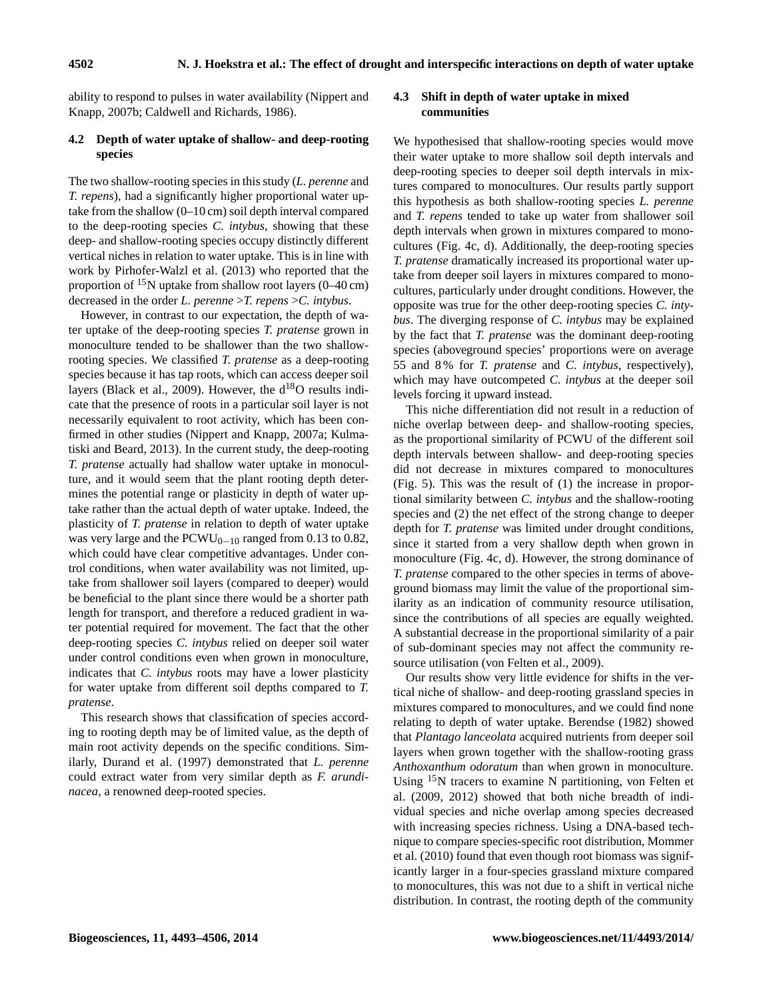ability to respond to pulses in water availability (Nippert and Knapp, 2007b; Caldwell and Richards, 1986).

#### **4.2 Depth of water uptake of shallow- and deep-rooting species**

The two shallow-rooting species in this study (*L. perenne* and *T. repens*), had a significantly higher proportional water uptake from the shallow (0–10 cm) soil depth interval compared to the deep-rooting species *C. intybus,* showing that these deep- and shallow-rooting species occupy distinctly different vertical niches in relation to water uptake. This is in line with work by Pirhofer-Walzl et al. (2013) who reported that the proportion of  $^{15}N$  uptake from shallow root layers (0–40 cm) decreased in the order *L. perenne* >*T. repens* >*C. intybus*.

However, in contrast to our expectation, the depth of water uptake of the deep-rooting species *T. pratense* grown in monoculture tended to be shallower than the two shallowrooting species. We classified *T. pratense* as a deep-rooting species because it has tap roots, which can access deeper soil layers (Black et al., 2009). However, the  $d^{18}O$  results indicate that the presence of roots in a particular soil layer is not necessarily equivalent to root activity, which has been confirmed in other studies (Nippert and Knapp, 2007a; Kulmatiski and Beard, 2013). In the current study, the deep-rooting *T. pratense* actually had shallow water uptake in monoculture, and it would seem that the plant rooting depth determines the potential range or plasticity in depth of water uptake rather than the actual depth of water uptake. Indeed, the plasticity of *T. pratense* in relation to depth of water uptake was very large and the  $PCWU_{0-10}$  ranged from 0.13 to 0.82, which could have clear competitive advantages. Under control conditions, when water availability was not limited, uptake from shallower soil layers (compared to deeper) would be beneficial to the plant since there would be a shorter path length for transport, and therefore a reduced gradient in water potential required for movement. The fact that the other deep-rooting species *C. intybus* relied on deeper soil water under control conditions even when grown in monoculture, indicates that *C. intybus* roots may have a lower plasticity for water uptake from different soil depths compared to *T. pratense*.

This research shows that classification of species according to rooting depth may be of limited value, as the depth of main root activity depends on the specific conditions. Similarly, Durand et al. (1997) demonstrated that *L. perenne* could extract water from very similar depth as *F. arundinacea*, a renowned deep-rooted species.

# **4.3 Shift in depth of water uptake in mixed communities**

We hypothesised that shallow-rooting species would move their water uptake to more shallow soil depth intervals and deep-rooting species to deeper soil depth intervals in mixtures compared to monocultures. Our results partly support this hypothesis as both shallow-rooting species *L. perenne* and *T. repens* tended to take up water from shallower soil depth intervals when grown in mixtures compared to monocultures (Fig. 4c, d). Additionally, the deep-rooting species *T. pratense* dramatically increased its proportional water uptake from deeper soil layers in mixtures compared to monocultures, particularly under drought conditions. However, the opposite was true for the other deep-rooting species *C. intybus*. The diverging response of *C. intybus* may be explained by the fact that *T. pratense* was the dominant deep-rooting species (aboveground species' proportions were on average 55 and 8 % for *T. pratense* and *C. intybus*, respectively), which may have outcompeted *C. intybus* at the deeper soil levels forcing it upward instead.

This niche differentiation did not result in a reduction of niche overlap between deep- and shallow-rooting species, as the proportional similarity of PCWU of the different soil depth intervals between shallow- and deep-rooting species did not decrease in mixtures compared to monocultures (Fig. 5). This was the result of (1) the increase in proportional similarity between *C. intybus* and the shallow-rooting species and (2) the net effect of the strong change to deeper depth for *T. pratense* was limited under drought conditions, since it started from a very shallow depth when grown in monoculture (Fig. 4c, d). However, the strong dominance of *T. pratense* compared to the other species in terms of aboveground biomass may limit the value of the proportional similarity as an indication of community resource utilisation, since the contributions of all species are equally weighted. A substantial decrease in the proportional similarity of a pair of sub-dominant species may not affect the community resource utilisation (von Felten et al., 2009).

Our results show very little evidence for shifts in the vertical niche of shallow- and deep-rooting grassland species in mixtures compared to monocultures, and we could find none relating to depth of water uptake. Berendse (1982) showed that *Plantago lanceolata* acquired nutrients from deeper soil layers when grown together with the shallow-rooting grass *Anthoxanthum odoratum* than when grown in monoculture. Using <sup>15</sup>N tracers to examine N partitioning, von Felten et al. (2009, 2012) showed that both niche breadth of individual species and niche overlap among species decreased with increasing species richness. Using a DNA-based technique to compare species-specific root distribution, Mommer et al. (2010) found that even though root biomass was significantly larger in a four-species grassland mixture compared to monocultures, this was not due to a shift in vertical niche distribution. In contrast, the rooting depth of the community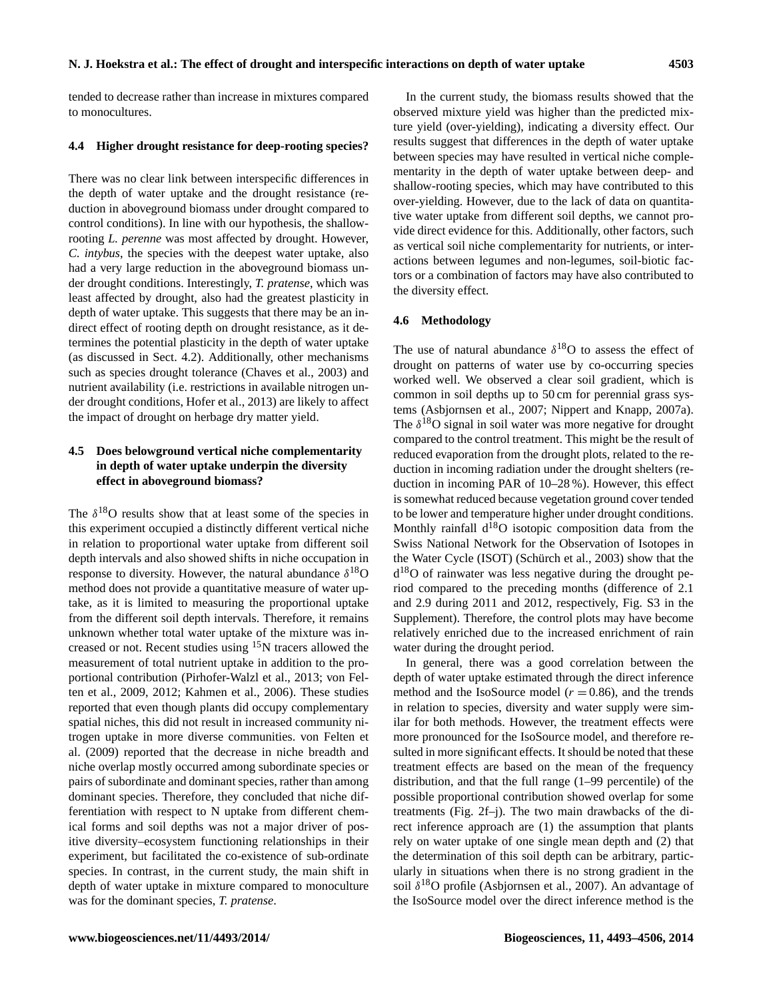tended to decrease rather than increase in mixtures compared to monocultures.

#### **4.4 Higher drought resistance for deep-rooting species?**

There was no clear link between interspecific differences in the depth of water uptake and the drought resistance (reduction in aboveground biomass under drought compared to control conditions). In line with our hypothesis, the shallowrooting *L. perenne* was most affected by drought. However, *C. intybus*, the species with the deepest water uptake, also had a very large reduction in the aboveground biomass under drought conditions. Interestingly, *T. pratense*, which was least affected by drought, also had the greatest plasticity in depth of water uptake. This suggests that there may be an indirect effect of rooting depth on drought resistance, as it determines the potential plasticity in the depth of water uptake (as discussed in Sect. 4.2). Additionally, other mechanisms such as species drought tolerance (Chaves et al., 2003) and nutrient availability (i.e. restrictions in available nitrogen under drought conditions, Hofer et al., 2013) are likely to affect the impact of drought on herbage dry matter yield.

# **4.5 Does belowground vertical niche complementarity in depth of water uptake underpin the diversity effect in aboveground biomass?**

The  $\delta^{18}$ O results show that at least some of the species in this experiment occupied a distinctly different vertical niche in relation to proportional water uptake from different soil depth intervals and also showed shifts in niche occupation in response to diversity. However, the natural abundance  $\delta^{18}O$ method does not provide a quantitative measure of water uptake, as it is limited to measuring the proportional uptake from the different soil depth intervals. Therefore, it remains unknown whether total water uptake of the mixture was increased or not. Recent studies using <sup>15</sup>N tracers allowed the measurement of total nutrient uptake in addition to the proportional contribution (Pirhofer-Walzl et al., 2013; von Felten et al., 2009, 2012; Kahmen et al., 2006). These studies reported that even though plants did occupy complementary spatial niches, this did not result in increased community nitrogen uptake in more diverse communities. von Felten et al. (2009) reported that the decrease in niche breadth and niche overlap mostly occurred among subordinate species or pairs of subordinate and dominant species, rather than among dominant species. Therefore, they concluded that niche differentiation with respect to N uptake from different chemical forms and soil depths was not a major driver of positive diversity–ecosystem functioning relationships in their experiment, but facilitated the co-existence of sub-ordinate species. In contrast, in the current study, the main shift in depth of water uptake in mixture compared to monoculture was for the dominant species, *T. pratense*.

In the current study, the biomass results showed that the observed mixture yield was higher than the predicted mixture yield (over-yielding), indicating a diversity effect. Our results suggest that differences in the depth of water uptake between species may have resulted in vertical niche complementarity in the depth of water uptake between deep- and shallow-rooting species, which may have contributed to this over-yielding. However, due to the lack of data on quantitative water uptake from different soil depths, we cannot provide direct evidence for this. Additionally, other factors, such as vertical soil niche complementarity for nutrients, or interactions between legumes and non-legumes, soil-biotic factors or a combination of factors may have also contributed to the diversity effect.

#### **4.6 Methodology**

The use of natural abundance  $\delta^{18}$ O to assess the effect of drought on patterns of water use by co-occurring species worked well. We observed a clear soil gradient, which is common in soil depths up to 50 cm for perennial grass systems (Asbjornsen et al., 2007; Nippert and Knapp, 2007a). The  $\delta^{18}$ O signal in soil water was more negative for drought compared to the control treatment. This might be the result of reduced evaporation from the drought plots, related to the reduction in incoming radiation under the drought shelters (reduction in incoming PAR of 10–28 %). However, this effect is somewhat reduced because vegetation ground cover tended to be lower and temperature higher under drought conditions. Monthly rainfall  $d^{18}O$  isotopic composition data from the Swiss National Network for the Observation of Isotopes in the Water Cycle (ISOT) (Schürch et al., 2003) show that the d<sup>18</sup>O of rainwater was less negative during the drought period compared to the preceding months (difference of 2.1 and 2.9 during 2011 and 2012, respectively, Fig. S3 in the Supplement). Therefore, the control plots may have become relatively enriched due to the increased enrichment of rain water during the drought period.

In general, there was a good correlation between the depth of water uptake estimated through the direct inference method and the IsoSource model ( $r = 0.86$ ), and the trends in relation to species, diversity and water supply were similar for both methods. However, the treatment effects were more pronounced for the IsoSource model, and therefore resulted in more significant effects. It should be noted that these treatment effects are based on the mean of the frequency distribution, and that the full range (1–99 percentile) of the possible proportional contribution showed overlap for some treatments (Fig. 2f–j). The two main drawbacks of the direct inference approach are (1) the assumption that plants rely on water uptake of one single mean depth and (2) that the determination of this soil depth can be arbitrary, particularly in situations when there is no strong gradient in the soil  $\delta^{18}O$  profile (Asbjornsen et al., 2007). An advantage of the IsoSource model over the direct inference method is the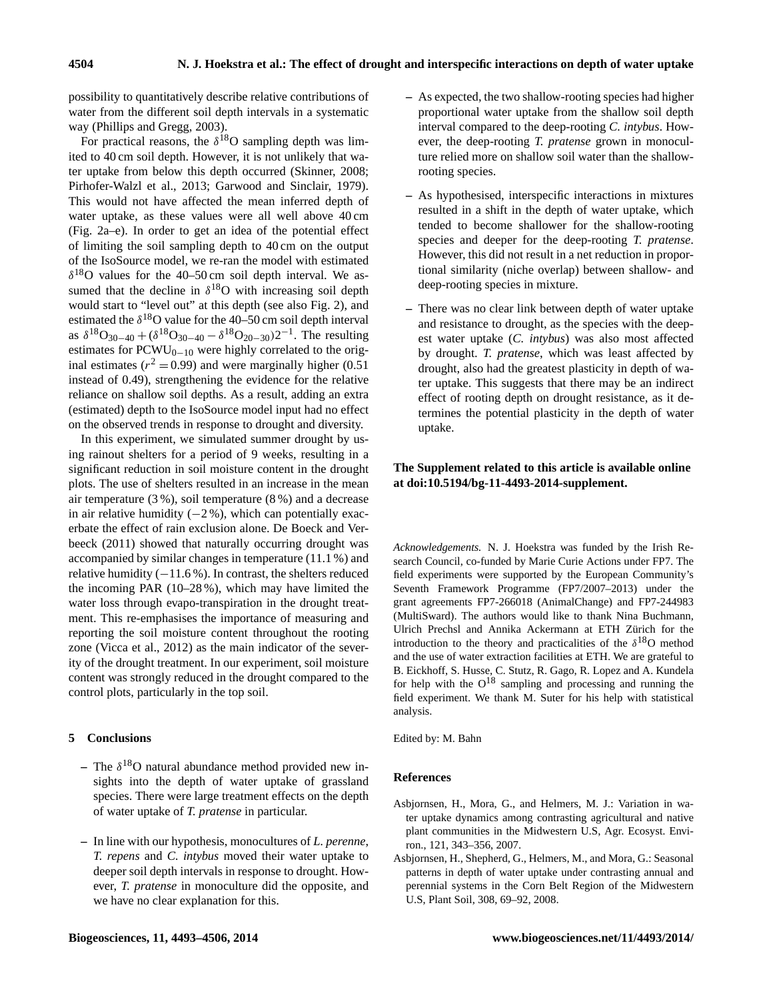possibility to quantitatively describe relative contributions of water from the different soil depth intervals in a systematic way (Phillips and Gregg, 2003).

For practical reasons, the  $\delta^{18}O$  sampling depth was limited to 40 cm soil depth. However, it is not unlikely that water uptake from below this depth occurred (Skinner, 2008; Pirhofer-Walzl et al., 2013; Garwood and Sinclair, 1979). This would not have affected the mean inferred depth of water uptake, as these values were all well above 40 cm (Fig. 2a–e). In order to get an idea of the potential effect of limiting the soil sampling depth to 40 cm on the output of the IsoSource model, we re-ran the model with estimated  $\delta^{18}$ O values for the 40–50 cm soil depth interval. We assumed that the decline in  $\delta^{18}$ O with increasing soil depth would start to "level out" at this depth (see also Fig. 2), and estimated the  $\delta^{18}$ O value for the 40–50 cm soil depth interval as  $\delta^{18}O_{30-40} + (\delta^{18}O_{30-40} - \delta^{18}O_{20-30})2^{-1}$ . The resulting estimates for PCWU<sub>0−10</sub> were highly correlated to the original estimates ( $r^2 = 0.99$ ) and were marginally higher (0.51) instead of 0.49), strengthening the evidence for the relative reliance on shallow soil depths. As a result, adding an extra (estimated) depth to the IsoSource model input had no effect on the observed trends in response to drought and diversity.

In this experiment, we simulated summer drought by using rainout shelters for a period of 9 weeks, resulting in a significant reduction in soil moisture content in the drought plots. The use of shelters resulted in an increase in the mean air temperature (3 %), soil temperature (8 %) and a decrease in air relative humidity  $(-2\%)$ , which can potentially exacerbate the effect of rain exclusion alone. De Boeck and Verbeeck (2011) showed that naturally occurring drought was accompanied by similar changes in temperature (11.1 %) and relative humidity (−11.6 %). In contrast, the shelters reduced the incoming PAR (10–28 %), which may have limited the water loss through evapo-transpiration in the drought treatment. This re-emphasises the importance of measuring and reporting the soil moisture content throughout the rooting zone (Vicca et al., 2012) as the main indicator of the severity of the drought treatment. In our experiment, soil moisture content was strongly reduced in the drought compared to the control plots, particularly in the top soil.

#### **5 Conclusions**

- $-$  The  $\delta^{18}$ O natural abundance method provided new insights into the depth of water uptake of grassland species. There were large treatment effects on the depth of water uptake of *T. pratense* in particular.
- **–** In line with our hypothesis, monocultures of *L. perenne*, *T. repens* and *C. intybus* moved their water uptake to deeper soil depth intervals in response to drought. However, *T. pratense* in monoculture did the opposite, and we have no clear explanation for this.
- **–** As expected, the two shallow-rooting species had higher proportional water uptake from the shallow soil depth interval compared to the deep-rooting *C. intybus*. However, the deep-rooting *T. pratense* grown in monoculture relied more on shallow soil water than the shallowrooting species.
- **–** As hypothesised, interspecific interactions in mixtures resulted in a shift in the depth of water uptake, which tended to become shallower for the shallow-rooting species and deeper for the deep-rooting *T. pratense*. However, this did not result in a net reduction in proportional similarity (niche overlap) between shallow- and deep-rooting species in mixture.
- **–** There was no clear link between depth of water uptake and resistance to drought, as the species with the deepest water uptake (*C. intybus*) was also most affected by drought. *T. pratense*, which was least affected by drought, also had the greatest plasticity in depth of water uptake. This suggests that there may be an indirect effect of rooting depth on drought resistance, as it determines the potential plasticity in the depth of water uptake.

### **The Supplement related to this article is available online at [doi:10.5194/bg-11-4493-2014-supplement.](http://dx.doi.org/10.5194/bg-11-4493-2014-supplement)**

*Acknowledgements.* N. J. Hoekstra was funded by the Irish Research Council, co-funded by Marie Curie Actions under FP7. The field experiments were supported by the European Community's Seventh Framework Programme (FP7/2007–2013) under the grant agreements FP7-266018 (AnimalChange) and FP7-244983 (MultiSward). The authors would like to thank Nina Buchmann, Ulrich Prechsl and Annika Ackermann at ETH Zürich for the introduction to the theory and practicalities of the  $\delta^{18}$ O method and the use of water extraction facilities at ETH. We are grateful to B. Eickhoff, S. Husse, C. Stutz, R. Gago, R. Lopez and A. Kundela for help with the  $O^{18}$  sampling and processing and running the field experiment. We thank M. Suter for his help with statistical analysis.

Edited by: M. Bahn

#### **References**

- Asbjornsen, H., Mora, G., and Helmers, M. J.: Variation in water uptake dynamics among contrasting agricultural and native plant communities in the Midwestern U.S, Agr. Ecosyst. Environ., 121, 343–356, 2007.
- Asbjornsen, H., Shepherd, G., Helmers, M., and Mora, G.: Seasonal patterns in depth of water uptake under contrasting annual and perennial systems in the Corn Belt Region of the Midwestern U.S, Plant Soil, 308, 69–92, 2008.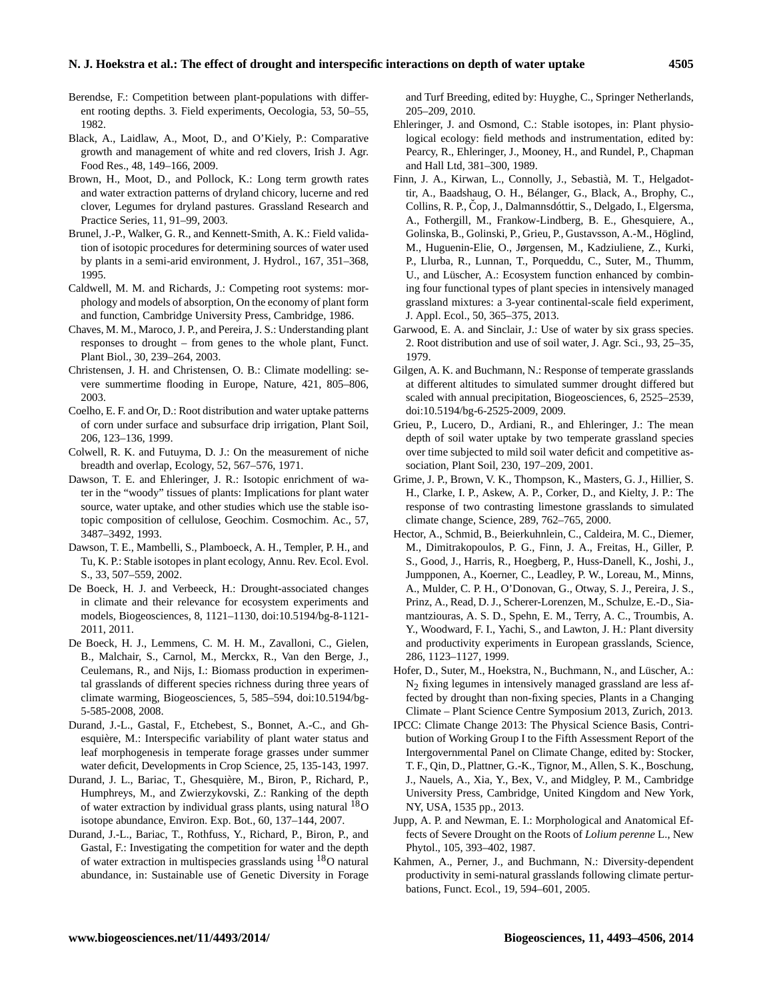#### **N. J. Hoekstra et al.: The effect of drought and interspecific interactions on depth of water uptake 4505**

- Berendse, F.: Competition between plant-populations with different rooting depths. 3. Field experiments, Oecologia, 53, 50–55, 1982.
- Black, A., Laidlaw, A., Moot, D., and O'Kiely, P.: Comparative growth and management of white and red clovers, Irish J. Agr. Food Res., 48, 149–166, 2009.
- Brown, H., Moot, D., and Pollock, K.: Long term growth rates and water extraction patterns of dryland chicory, lucerne and red clover, Legumes for dryland pastures. Grassland Research and Practice Series, 11, 91–99, 2003.
- Brunel, J.-P., Walker, G. R., and Kennett-Smith, A. K.: Field validation of isotopic procedures for determining sources of water used by plants in a semi-arid environment, J. Hydrol., 167, 351–368, 1995.
- Caldwell, M. M. and Richards, J.: Competing root systems: morphology and models of absorption, On the economy of plant form and function, Cambridge University Press, Cambridge, 1986.
- Chaves, M. M., Maroco, J. P., and Pereira, J. S.: Understanding plant responses to drought – from genes to the whole plant, Funct. Plant Biol., 30, 239–264, 2003.
- Christensen, J. H. and Christensen, O. B.: Climate modelling: severe summertime flooding in Europe, Nature, 421, 805–806, 2003.
- Coelho, E. F. and Or, D.: Root distribution and water uptake patterns of corn under surface and subsurface drip irrigation, Plant Soil, 206, 123–136, 1999.
- Colwell, R. K. and Futuyma, D. J.: On the measurement of niche breadth and overlap, Ecology, 52, 567–576, 1971.
- Dawson, T. E. and Ehleringer, J. R.: Isotopic enrichment of water in the "woody" tissues of plants: Implications for plant water source, water uptake, and other studies which use the stable isotopic composition of cellulose, Geochim. Cosmochim. Ac., 57, 3487–3492, 1993.
- Dawson, T. E., Mambelli, S., Plamboeck, A. H., Templer, P. H., and Tu, K. P.: Stable isotopes in plant ecology, Annu. Rev. Ecol. Evol. S., 33, 507–559, 2002.
- De Boeck, H. J. and Verbeeck, H.: Drought-associated changes in climate and their relevance for ecosystem experiments and models, Biogeosciences, 8, 1121–1130, doi[:10.5194/bg-8-1121-](http://dx.doi.org/10.5194/bg-8-1121-2011) [2011,](http://dx.doi.org/10.5194/bg-8-1121-2011) 2011.
- De Boeck, H. J., Lemmens, C. M. H. M., Zavalloni, C., Gielen, B., Malchair, S., Carnol, M., Merckx, R., Van den Berge, J., Ceulemans, R., and Nijs, I.: Biomass production in experimental grasslands of different species richness during three years of climate warming, Biogeosciences, 5, 585–594, doi[:10.5194/bg-](http://dx.doi.org/10.5194/bg-5-585-2008)[5-585-2008,](http://dx.doi.org/10.5194/bg-5-585-2008) 2008.
- Durand, J.-L., Gastal, F., Etchebest, S., Bonnet, A.-C., and Ghesquière, M.: Interspecific variability of plant water status and leaf morphogenesis in temperate forage grasses under summer water deficit, Developments in Crop Science, 25, 135-143, 1997.
- Durand, J. L., Bariac, T., Ghesquière, M., Biron, P., Richard, P., Humphreys, M., and Zwierzykovski, Z.: Ranking of the depth of water extraction by individual grass plants, using natural <sup>18</sup>O isotope abundance, Environ. Exp. Bot., 60, 137–144, 2007.
- Durand, J.-L., Bariac, T., Rothfuss, Y., Richard, P., Biron, P., and Gastal, F.: Investigating the competition for water and the depth of water extraction in multispecies grasslands using <sup>18</sup>O natural abundance, in: Sustainable use of Genetic Diversity in Forage

and Turf Breeding, edited by: Huyghe, C., Springer Netherlands, 205–209, 2010.

- Ehleringer, J. and Osmond, C.: Stable isotopes, in: Plant physiological ecology: field methods and instrumentation, edited by: Pearcy, R., Ehleringer, J., Mooney, H., and Rundel, P., Chapman and Hall Ltd, 381–300, 1989.
- Finn, J. A., Kirwan, L., Connolly, J., Sebastià, M. T., Helgadottir, A., Baadshaug, O. H., Bélanger, G., Black, A., Brophy, C., Collins, R. P., Čop, J., Dalmannsdóttir, S., Delgado, I., Elgersma, A., Fothergill, M., Frankow-Lindberg, B. E., Ghesquiere, A., Golinska, B., Golinski, P., Grieu, P., Gustavsson, A.-M., Höglind, M., Huguenin-Elie, O., Jørgensen, M., Kadziuliene, Z., Kurki, P., Llurba, R., Lunnan, T., Porqueddu, C., Suter, M., Thumm, U., and Lüscher, A.: Ecosystem function enhanced by combining four functional types of plant species in intensively managed grassland mixtures: a 3-year continental-scale field experiment, J. Appl. Ecol., 50, 365–375, 2013.
- Garwood, E. A. and Sinclair, J.: Use of water by six grass species. 2. Root distribution and use of soil water, J. Agr. Sci., 93, 25–35, 1979.
- Gilgen, A. K. and Buchmann, N.: Response of temperate grasslands at different altitudes to simulated summer drought differed but scaled with annual precipitation, Biogeosciences, 6, 2525–2539, doi[:10.5194/bg-6-2525-2009,](http://dx.doi.org/10.5194/bg-6-2525-2009) 2009.
- Grieu, P., Lucero, D., Ardiani, R., and Ehleringer, J.: The mean depth of soil water uptake by two temperate grassland species over time subjected to mild soil water deficit and competitive association, Plant Soil, 230, 197–209, 2001.
- Grime, J. P., Brown, V. K., Thompson, K., Masters, G. J., Hillier, S. H., Clarke, I. P., Askew, A. P., Corker, D., and Kielty, J. P.: The response of two contrasting limestone grasslands to simulated climate change, Science, 289, 762–765, 2000.
- Hector, A., Schmid, B., Beierkuhnlein, C., Caldeira, M. C., Diemer, M., Dimitrakopoulos, P. G., Finn, J. A., Freitas, H., Giller, P. S., Good, J., Harris, R., Hoegberg, P., Huss-Danell, K., Joshi, J., Jumpponen, A., Koerner, C., Leadley, P. W., Loreau, M., Minns, A., Mulder, C. P. H., O'Donovan, G., Otway, S. J., Pereira, J. S., Prinz, A., Read, D. J., Scherer-Lorenzen, M., Schulze, E.-D., Siamantziouras, A. S. D., Spehn, E. M., Terry, A. C., Troumbis, A. Y., Woodward, F. I., Yachi, S., and Lawton, J. H.: Plant diversity and productivity experiments in European grasslands, Science, 286, 1123–1127, 1999.
- Hofer, D., Suter, M., Hoekstra, N., Buchmann, N., and Lüscher, A.:  $N_2$  fixing legumes in intensively managed grassland are less affected by drought than non-fixing species, Plants in a Changing Climate – Plant Science Centre Symposium 2013, Zurich, 2013.
- IPCC: Climate Change 2013: The Physical Science Basis, Contribution of Working Group I to the Fifth Assessment Report of the Intergovernmental Panel on Climate Change, edited by: Stocker, T. F., Qin, D., Plattner, G.-K., Tignor, M., Allen, S. K., Boschung, J., Nauels, A., Xia, Y., Bex, V., and Midgley, P. M., Cambridge University Press, Cambridge, United Kingdom and New York, NY, USA, 1535 pp., 2013.
- Jupp, A. P. and Newman, E. I.: Morphological and Anatomical Effects of Severe Drought on the Roots of *Lolium perenne* L., New Phytol., 105, 393–402, 1987.
- Kahmen, A., Perner, J., and Buchmann, N.: Diversity-dependent productivity in semi-natural grasslands following climate perturbations, Funct. Ecol., 19, 594–601, 2005.